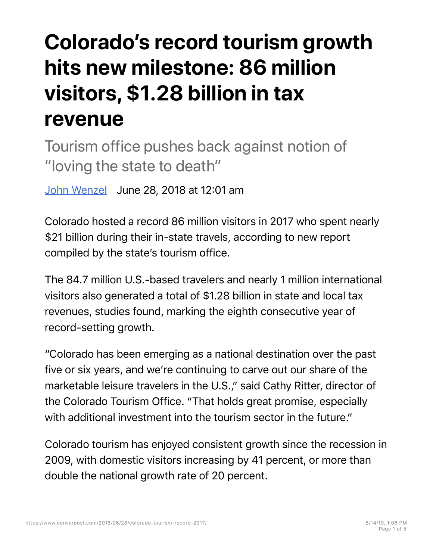## **Colorado's record tourism growth hits new milestone: 86 million visitors, \$1.28 billion in tax revenue**

Tourism office pushes back against notion of "loving the state to death"

John Wenzel June 28, 2018 at 12:01 am

Colorado hosted a record 86 million visitors in 2017 who spent nearly \$21 billion during their in-state travels, according to new report compiled by the state's tourism office.

The 84.7 million U.S.-based travelers and nearly 1 million international visitors also generated a total of \$1.28 billion in state and local tax revenues, studies found, marking the eighth consecutive year of record-setting growth.

"Colorado has been emerging as a national destination over the past five or six years, and we're continuing to carve out our share of the marketable leisure travelers in the U.S.," said Cathy Ritter, director of the Colorado Tourism Office. "That holds great promise, especially with additional investment into the tourism sector in the future."

Colorado tourism has enjoyed consistent growth since the recession in 2009, with domestic visitors increasing by 41 percent, or more than double the national growth rate of 20 percent.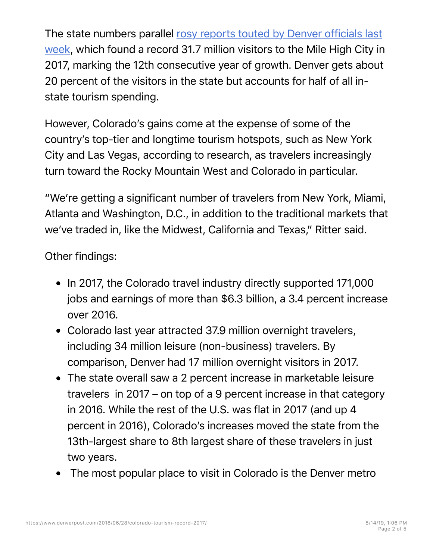The state numbers parallel rosy reports touted by Denver officials last week, which found a record 31.7 million visitors to the Mile High City in 2017, marking the 12th consecutive year of growth. Denver gets about 20 percent of the visitors in the state but accounts for half of all instate tourism spending.

However, Colorado's gains come at the expense of some of the country's top-tier and longtime tourism hotspots, such as New York City and Las Vegas, according to research, as travelers increasingly turn toward the Rocky Mountain West and Colorado in particular.

"We're getting a significant number of travelers from New York, Miami, Atlanta and Washington, D.C., in addition to the traditional markets that we've traded in, like the Midwest, California and Texas," Ritter said.

Other findings:

- In 2017, the Colorado travel industry directly supported 171,000 jobs and earnings of more than \$6.3 billion, a 3.4 percent increase over 2016.
- Colorado last year attracted 37.9 million overnight travelers, including 34 million leisure (non-business) travelers. By comparison, Denver had 17 million overnight visitors in 2017.
- The state overall saw a 2 percent increase in marketable leisure travelers in 2017 – on top of a 9 percent increase in that category in 2016. While the rest of the U.S. was flat in 2017 (and up 4 percent in 2016), Colorado's increases moved the state from the 13th-largest share to 8th largest share of these travelers in just two years.
- The most popular place to visit in Colorado is the Denver metro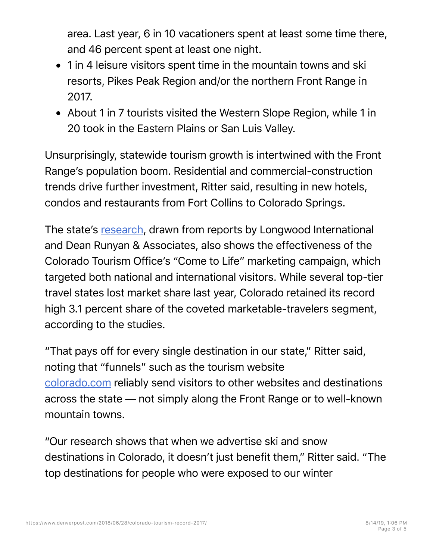area. Last year, 6 in 10 vacationers spent at least some time there, and 46 percent spent at least one night.

- 1 in 4 leisure visitors spent time in the mountain towns and ski resorts, Pikes Peak Region and/or the northern Front Range in 2017.
- About 1 in 7 tourists visited the Western Slope Region, while 1 in 20 took in the Eastern Plains or San Luis Valley.

Unsurprisingly, statewide tourism growth is intertwined with the Front Range's population boom. Residential and commercial-construction trends drive further investment, Ritter said, resulting in new hotels, condos and restaurants from Fort Collins to Colorado Springs.

The state's research, drawn from reports by Longwood International and Dean Runyan & Associates, also shows the effectiveness of the Colorado Tourism Office's "Come to Life" marketing campaign, which targeted both national and international visitors. While several top-tier travel states lost market share last year, Colorado retained its record high 3.1 percent share of the coveted marketable-travelers segment, according to the studies.

"That pays off for every single destination in our state," Ritter said, noting that "funnels" such as the tourism website colorado.com reliably send visitors to other websites and destinations across the state — not simply along the Front Range or to well-known mountain towns.

"Our research shows that when we advertise ski and snow destinations in Colorado, it doesn't just benefit them," Ritter said. "The top destinations for people who were exposed to our winter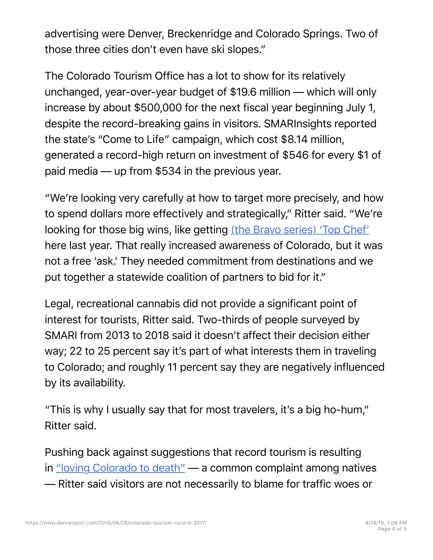advertising were Denver, Breckenridge and Colorado Springs. Two of those three cities don't even have ski slopes."

The Colorado Tourism Office has a lot to show for its relatively unchanged, year-over-year budget of \$19.6 million — which will only increase by about \$500,000 for the next fiscal year beginning July 1, despite the record-breaking gains in visitors. SMARInsights reported the state's "Come to Life" campaign, which cost \$8.14 million, generated a record-high return on investment of \$546 for every \$1 of paid media — up from \$534 in the previous year.

"We're looking very carefully at how to target more precisely, and how to spend dollars more effectively and strategically," Ritter said. "We're looking for those big wins, like getting (the Bravo series) 'Top Chef' here last year. That really increased awareness of Colorado, but it was not a free 'ask.' They needed commitment from destinations and we put together a statewide coalition of partners to bid for it."

Legal, recreational cannabis did not provide a significant point of interest for tourists, Ritter said. Two-thirds of people surveyed by SMARI from 2013 to 2018 said it doesn't affect their decision either way; 22 to 25 percent say it's part of what interests them in traveling to Colorado; and roughly 11 percent say they are negatively influenced by its availability.

"This is why I usually say that for most travelers, it's a big ho-hum," Ritter said.

Pushing back against suggestions that record tourism is resulting in "loving Colorado to death" — a common complaint among natives — Ritter said visitors are not necessarily to blame for traffic woes or